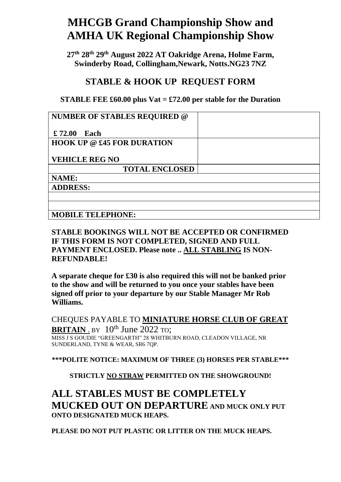## **MHCGB Grand Championship Show and AMHA UK Regional Championship Show**

**27th 28th 29th August 2022 AT Oakridge Arena, Holme Farm, Swinderby Road, Collingham,Newark, Notts.NG23 7NZ**

## **STABLE & HOOK UP REQUEST FORM**

## **STABLE FEE £60.00 plus Vat = £72.00 per stable for the Duration**

| <b>NUMBER OF STABLES REQUIRED @</b> |  |
|-------------------------------------|--|
| £72.00<br>Each                      |  |
| <b>HOOK UP @ £45 FOR DURATION</b>   |  |
| <b>VEHICLE REG NO</b>               |  |
| <b>TOTAL ENCLOSED</b>               |  |
| NAME:                               |  |
| <b>ADDRESS:</b>                     |  |
|                                     |  |
|                                     |  |
| <b>MOBILE TELEPHONE:</b>            |  |

## **STABLE BOOKINGS WILL NOT BE ACCEPTED OR CONFIRMED IF THIS FORM IS NOT COMPLETED, SIGNED AND FULL PAYMENT ENCLOSED. Please note .. ALL STABLING IS NON-REFUNDABLE!**

**A separate cheque for £30 is also required this will not be banked prior to the show and will be returned to you once your stables have been signed off prior to your departure by our Stable Manager Mr Rob Williams.**

CHEQUES PAYABLE TO **MINIATURE HORSE CLUB OF GREAT BRITAIN** . BY  $10^{th}$  June 2022 To: MISS J S GOUDIE "GREENGARTH" 28 WHITBURN ROAD, CLEADON VILLAGE, NR SUNDERLAND, TYNE & WEAR, SR6 7QP.

**\*\*\*POLITE NOTICE: MAXIMUM OF THREE (3) HORSES PER STABLE\*\*\***

**STRICTLY NO STRAW PERMITTED ON THE SHOWGROUND!**

**ALL STABLES MUST BE COMPLETELY MUCKED OUT ON DEPARTURE AND MUCK ONLY PUT ONTO DESIGNATED MUCK HEAPS.** 

**PLEASE DO NOT PUT PLASTIC OR LITTER ON THE MUCK HEAPS.**